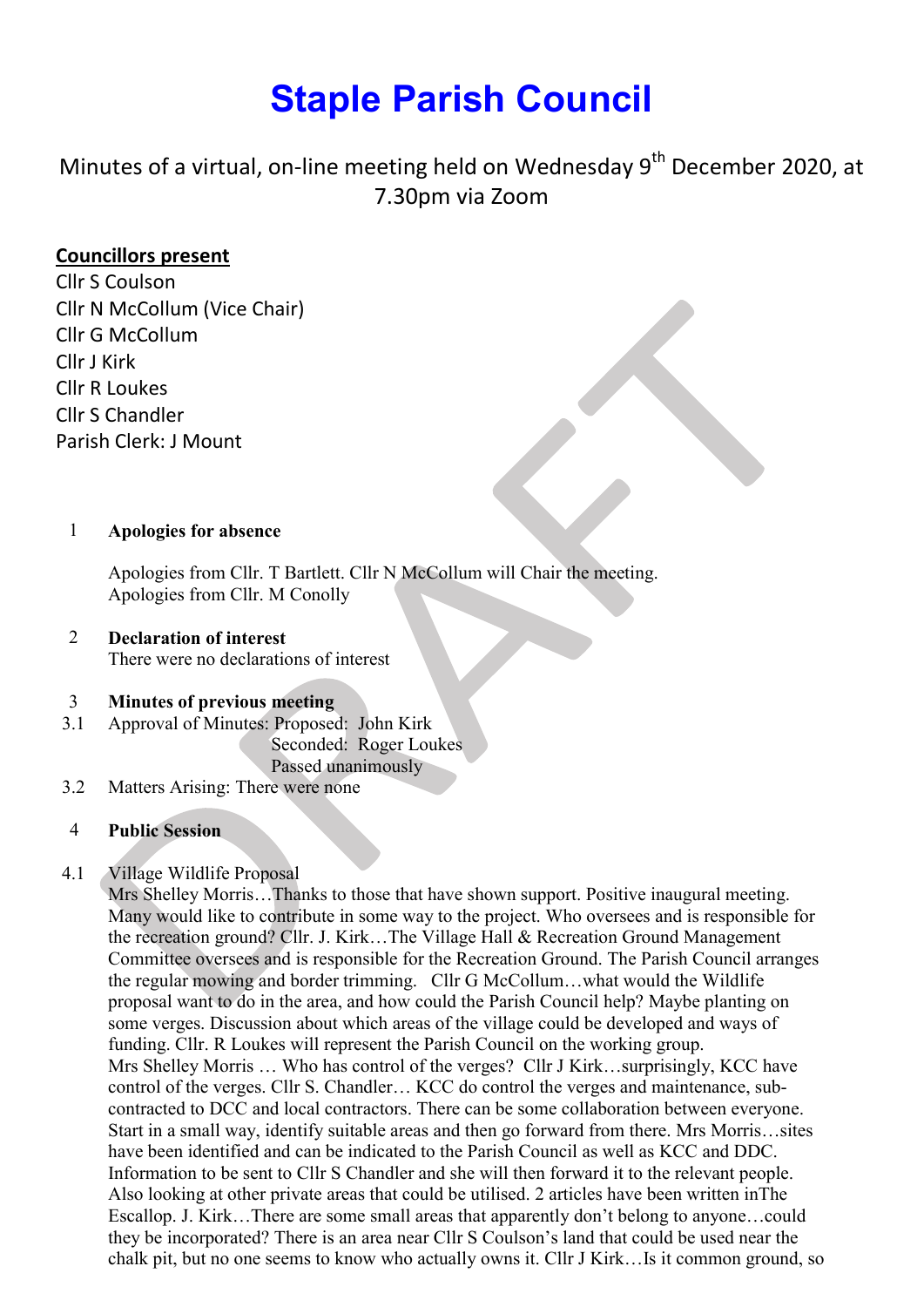# Staple Parish Council

Minutes of a virtual, on-line meeting held on Wednesday  $9^{th}$  December 2020, at 7.30pm via Zoom

# Councillors present

Cllr S Coulson Cllr N McCollum (Vice Chair) Cllr G McCollum Cllr J Kirk Cllr R Loukes Cllr S Chandler Parish Clerk: J Mount

# 1 Apologies for absence

Apologies from Cllr. T Bartlett. Cllr N McCollum will Chair the meeting. Apologies from Cllr. M Conolly

# 2 Declaration of interest

There were no declarations of interest

#### 3 Minutes of previous meeting

3.1 Approval of Minutes: Proposed: John Kirk

Seconded: Roger Loukes

Passed unanimously

3.2 Matters Arising: There were none

#### 4 Public Session

#### 4.1 Village Wildlife Proposal

Mrs Shelley Morris…Thanks to those that have shown support. Positive inaugural meeting. Many would like to contribute in some way to the project. Who oversees and is responsible for the recreation ground? Cllr. J. Kirk…The Village Hall & Recreation Ground Management Committee oversees and is responsible for the Recreation Ground. The Parish Council arranges the regular mowing and border trimming. Cllr G McCollum…what would the Wildlife proposal want to do in the area, and how could the Parish Council help? Maybe planting on some verges. Discussion about which areas of the village could be developed and ways of funding. Cllr. R Loukes will represent the Parish Council on the working group. Mrs Shelley Morris … Who has control of the verges? Cllr J Kirk…surprisingly, KCC have control of the verges. Cllr S. Chandler… KCC do control the verges and maintenance, subcontracted to DCC and local contractors. There can be some collaboration between everyone. Start in a small way, identify suitable areas and then go forward from there. Mrs Morris…sites have been identified and can be indicated to the Parish Council as well as KCC and DDC. Information to be sent to Cllr S Chandler and she will then forward it to the relevant people. Also looking at other private areas that could be utilised. 2 articles have been written inThe Escallop. J. Kirk…There are some small areas that apparently don't belong to anyone…could they be incorporated? There is an area near Cllr S Coulson's land that could be used near the chalk pit, but no one seems to know who actually owns it. Cllr J Kirk…Is it common ground, so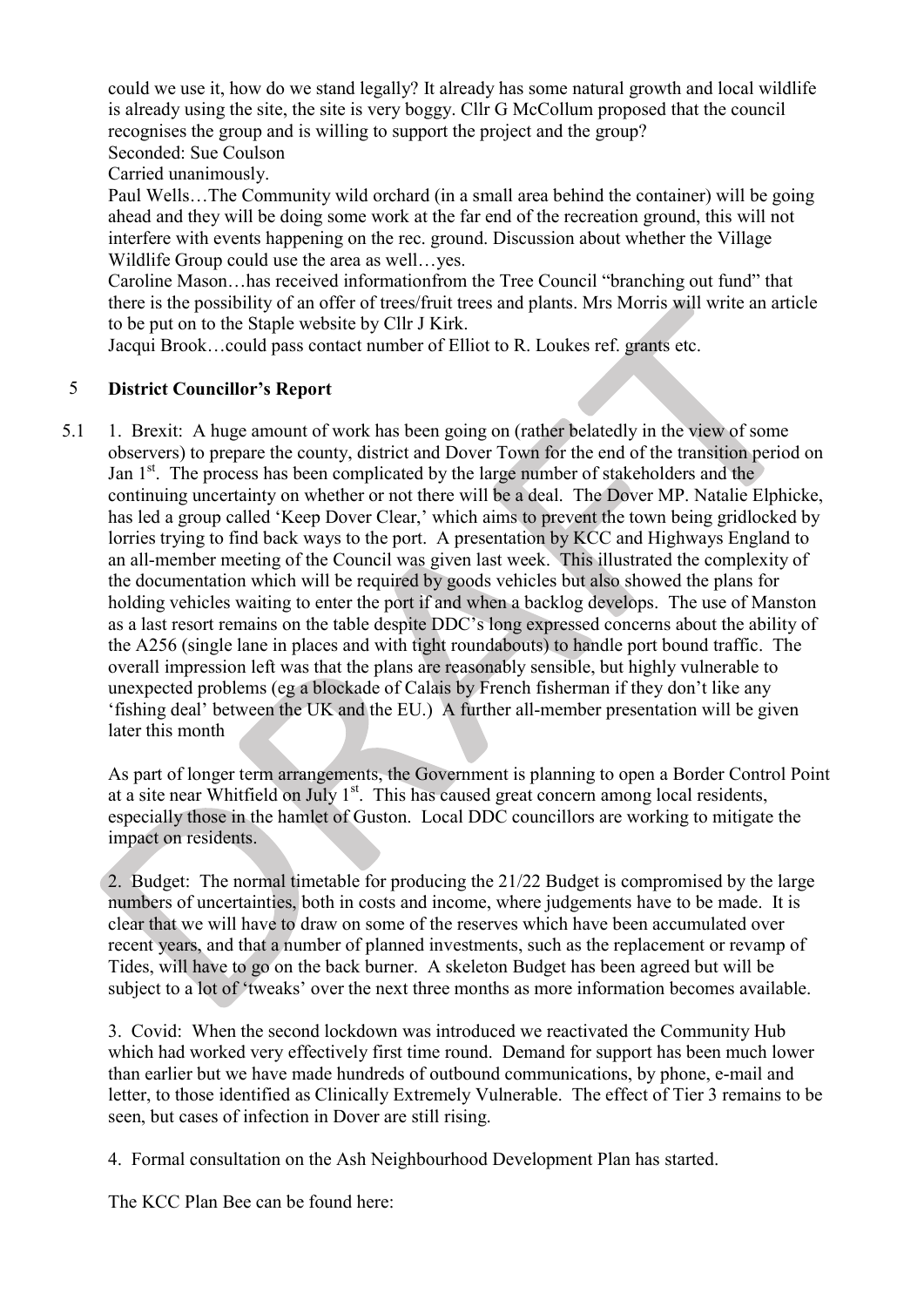could we use it, how do we stand legally? It already has some natural growth and local wildlife is already using the site, the site is very boggy. Cllr G McCollum proposed that the council recognises the group and is willing to support the project and the group? Seconded: Sue Coulson

Carried unanimously.

Paul Wells…The Community wild orchard (in a small area behind the container) will be going ahead and they will be doing some work at the far end of the recreation ground, this will not interfere with events happening on the rec. ground. Discussion about whether the Village Wildlife Group could use the area as well…yes.

Caroline Mason…has received informationfrom the Tree Council "branching out fund" that there is the possibility of an offer of trees/fruit trees and plants. Mrs Morris will write an article to be put on to the Staple website by Cllr J Kirk.

Jacqui Brook…could pass contact number of Elliot to R. Loukes ref. grants etc.

#### 5 District Councillor's Report

5.1 1. Brexit: A huge amount of work has been going on (rather belatedly in the view of some observers) to prepare the county, district and Dover Town for the end of the transition period on Jan 1<sup>st</sup>. The process has been complicated by the large number of stakeholders and the continuing uncertainty on whether or not there will be a deal. The Dover MP. Natalie Elphicke, has led a group called 'Keep Dover Clear,' which aims to prevent the town being gridlocked by lorries trying to find back ways to the port. A presentation by KCC and Highways England to an all-member meeting of the Council was given last week. This illustrated the complexity of the documentation which will be required by goods vehicles but also showed the plans for holding vehicles waiting to enter the port if and when a backlog develops. The use of Manston as a last resort remains on the table despite DDC's long expressed concerns about the ability of the A256 (single lane in places and with tight roundabouts) to handle port bound traffic. The overall impression left was that the plans are reasonably sensible, but highly vulnerable to unexpected problems (eg a blockade of Calais by French fisherman if they don't like any 'fishing deal' between the UK and the EU.) A further all-member presentation will be given later this month

As part of longer term arrangements, the Government is planning to open a Border Control Point at a site near Whitfield on July  $1<sup>st</sup>$ . This has caused great concern among local residents, especially those in the hamlet of Guston. Local DDC councillors are working to mitigate the impact on residents.

2. Budget: The normal timetable for producing the 21/22 Budget is compromised by the large numbers of uncertainties, both in costs and income, where judgements have to be made. It is clear that we will have to draw on some of the reserves which have been accumulated over recent years, and that a number of planned investments, such as the replacement or revamp of Tides, will have to go on the back burner. A skeleton Budget has been agreed but will be subject to a lot of 'tweaks' over the next three months as more information becomes available.

3. Covid: When the second lockdown was introduced we reactivated the Community Hub which had worked very effectively first time round. Demand for support has been much lower than earlier but we have made hundreds of outbound communications, by phone, e-mail and letter, to those identified as Clinically Extremely Vulnerable. The effect of Tier 3 remains to be seen, but cases of infection in Dover are still rising.

4. Formal consultation on the Ash Neighbourhood Development Plan has started.

The KCC Plan Bee can be found here: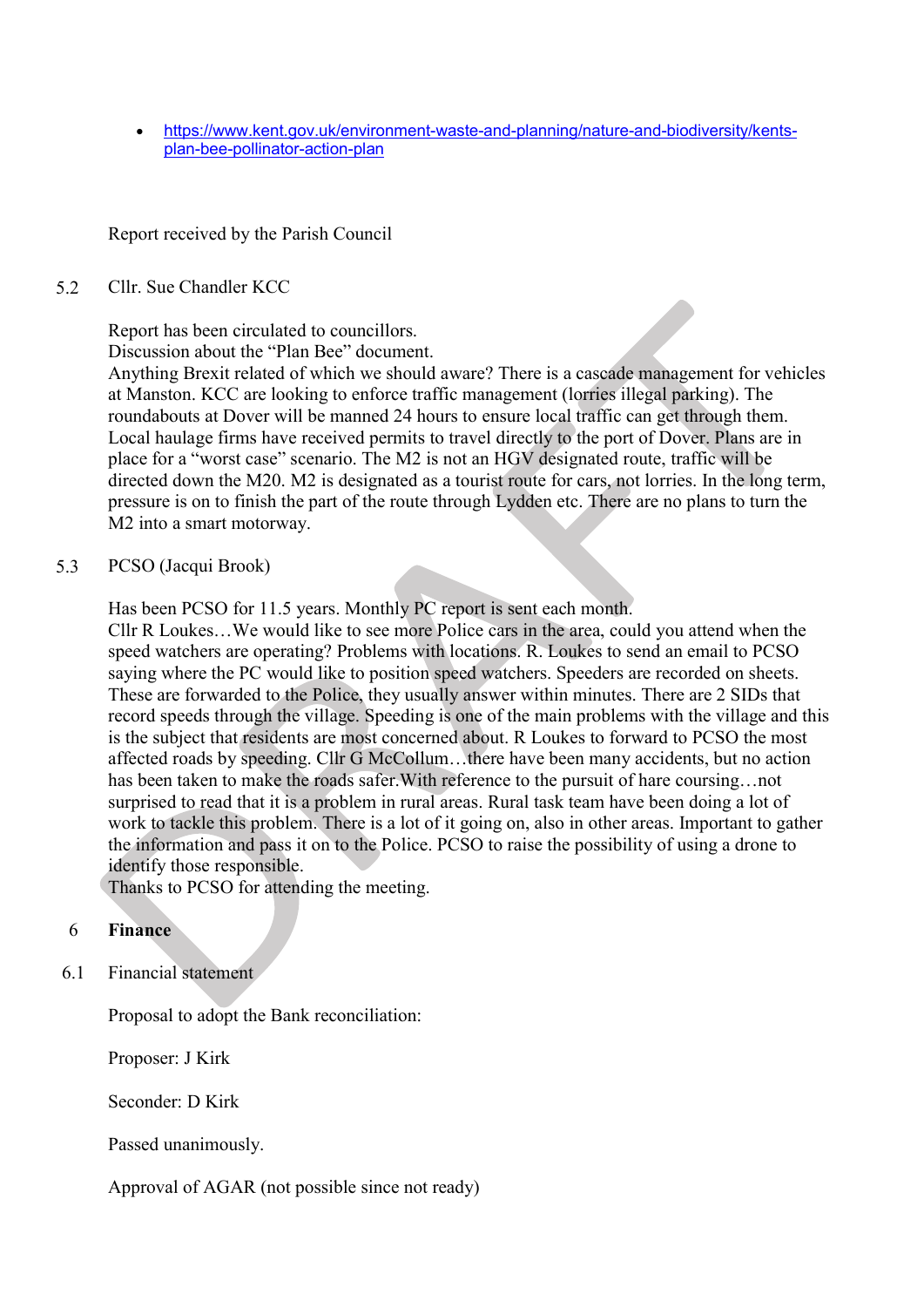https://www.kent.gov.uk/environment-waste-and-planning/nature-and-biodiversity/kentsplan-bee-pollinator-action-plan

# Report received by the Parish Council

#### 5.2 Cllr. Sue Chandler KCC

Report has been circulated to councillors.

Discussion about the "Plan Bee" document.

Anything Brexit related of which we should aware? There is a cascade management for vehicles at Manston. KCC are looking to enforce traffic management (lorries illegal parking). The roundabouts at Dover will be manned 24 hours to ensure local traffic can get through them. Local haulage firms have received permits to travel directly to the port of Dover. Plans are in place for a "worst case" scenario. The M2 is not an HGV designated route, traffic will be directed down the M20. M2 is designated as a tourist route for cars, not lorries. In the long term, pressure is on to finish the part of the route through Lydden etc. There are no plans to turn the M2 into a smart motorway.

#### 5.3 PCSO (Jacqui Brook)

Has been PCSO for 11.5 years. Monthly PC report is sent each month.

Cllr R Loukes…We would like to see more Police cars in the area, could you attend when the speed watchers are operating? Problems with locations. R. Loukes to send an email to PCSO saying where the PC would like to position speed watchers. Speeders are recorded on sheets. These are forwarded to the Police, they usually answer within minutes. There are 2 SIDs that record speeds through the village. Speeding is one of the main problems with the village and this is the subject that residents are most concerned about. R Loukes to forward to PCSO the most affected roads by speeding. Cllr G McCollum…there have been many accidents, but no action has been taken to make the roads safer.With reference to the pursuit of hare coursing…not surprised to read that it is a problem in rural areas. Rural task team have been doing a lot of work to tackle this problem. There is a lot of it going on, also in other areas. Important to gather the information and pass it on to the Police. PCSO to raise the possibility of using a drone to identify those responsible.

Thanks to PCSO for attending the meeting.

#### 6 Finance

6.1 Financial statement

Proposal to adopt the Bank reconciliation:

Proposer: J Kirk

Seconder: D Kirk

Passed unanimously.

Approval of AGAR (not possible since not ready)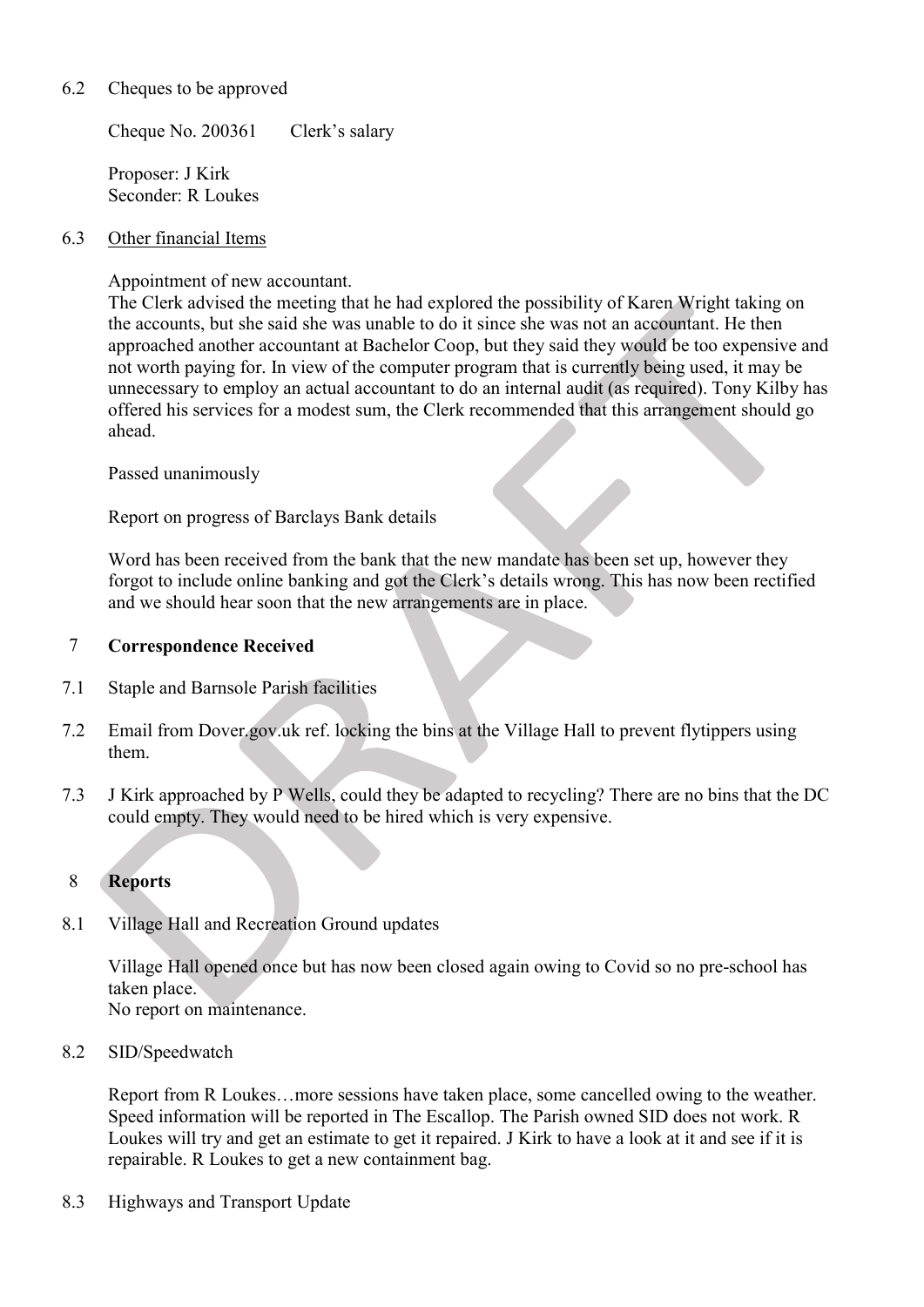#### 6.2 Cheques to be approved

Cheque No. 200361 Clerk's salary

Proposer: J Kirk Seconder: R Loukes

#### 6.3 Other financial Items

Appointment of new accountant.

The Clerk advised the meeting that he had explored the possibility of Karen Wright taking on the accounts, but she said she was unable to do it since she was not an accountant. He then approached another accountant at Bachelor Coop, but they said they would be too expensive and not worth paying for. In view of the computer program that is currently being used, it may be unnecessary to employ an actual accountant to do an internal audit (as required). Tony Kilby has offered his services for a modest sum, the Clerk recommended that this arrangement should go ahead.

Passed unanimously

Report on progress of Barclays Bank details

Word has been received from the bank that the new mandate has been set up, however they forgot to include online banking and got the Clerk's details wrong. This has now been rectified and we should hear soon that the new arrangements are in place.

#### 7 Correspondence Received

- 7.1 Staple and Barnsole Parish facilities
- 7.2 Email from Dover.gov.uk ref. locking the bins at the Village Hall to prevent flytippers using them.
- 7.3 J Kirk approached by P Wells, could they be adapted to recycling? There are no bins that the DC could empty. They would need to be hired which is very expensive.

#### 8 Reports

8.1 Village Hall and Recreation Ground updates

> Village Hall opened once but has now been closed again owing to Covid so no pre-school has taken place. No report on maintenance.

8.2 SID/Speedwatch

> Report from R Loukes…more sessions have taken place, some cancelled owing to the weather. Speed information will be reported in The Escallop. The Parish owned SID does not work. R Loukes will try and get an estimate to get it repaired. J Kirk to have a look at it and see if it is repairable. R Loukes to get a new containment bag.

8.3 Highways and Transport Update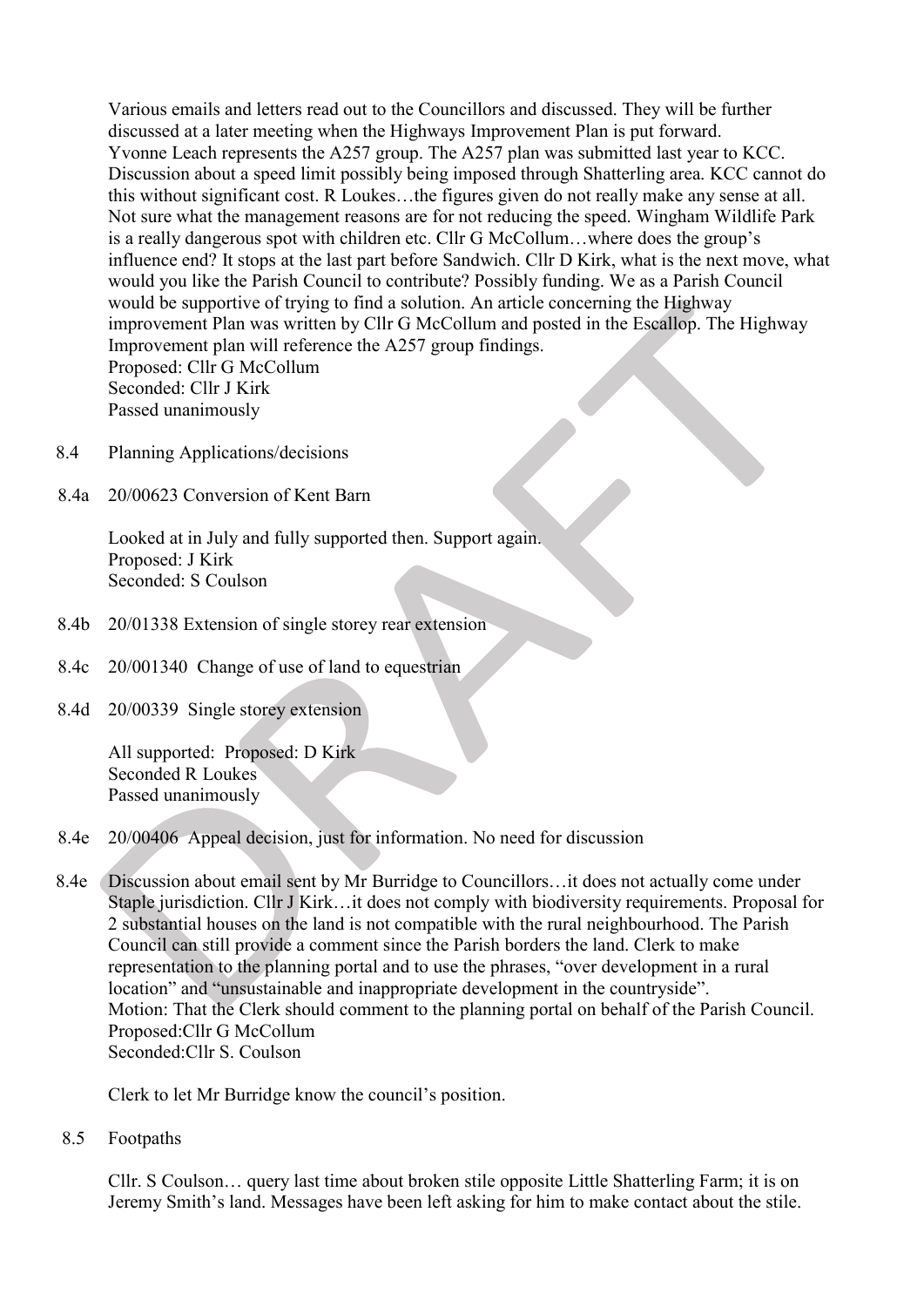Various emails and letters read out to the Councillors and discussed. They will be further discussed at a later meeting when the Highways Improvement Plan is put forward. Yvonne Leach represents the A257 group. The A257 plan was submitted last year to KCC. Discussion about a speed limit possibly being imposed through Shatterling area. KCC cannot do this without significant cost. R Loukes…the figures given do not really make any sense at all. Not sure what the management reasons are for not reducing the speed. Wingham Wildlife Park is a really dangerous spot with children etc. Cllr G McCollum…where does the group's influence end? It stops at the last part before Sandwich. Cllr D Kirk, what is the next move, what would you like the Parish Council to contribute? Possibly funding. We as a Parish Council would be supportive of trying to find a solution. An article concerning the Highway improvement Plan was written by Cllr G McCollum and posted in the Escallop. The Highway Improvement plan will reference the A257 group findings. Proposed: Cllr G McCollum Seconded: Cllr J Kirk Passed unanimously

- 8.4 Planning Applications/decisions
- 8.4a 20/00623 Conversion of Kent Barn

Looked at in July and fully supported then. Support again. Proposed: J Kirk Seconded: S Coulson

- 8.4b 20/01338 Extension of single storey rear extension
- 8.4c 20/001340 Change of use of land to equestrian
- 8.4d 20/00339 Single storey extension

All supported: Proposed: D Kirk Seconded R Loukes Passed unanimously

- 8.4e 20/00406 Appeal decision, just for information. No need for discussion
- 8.4e Discussion about email sent by Mr Burridge to Councillors…it does not actually come under Staple jurisdiction. Cllr J Kirk…it does not comply with biodiversity requirements. Proposal for 2 substantial houses on the land is not compatible with the rural neighbourhood. The Parish Council can still provide a comment since the Parish borders the land. Clerk to make representation to the planning portal and to use the phrases, "over development in a rural location" and "unsustainable and inappropriate development in the countryside". Motion: That the Clerk should comment to the planning portal on behalf of the Parish Council. Proposed:Cllr G McCollum Seconded:Cllr S. Coulson

Clerk to let Mr Burridge know the council's position.

8.5 Footpaths

> Cllr. S Coulson… query last time about broken stile opposite Little Shatterling Farm; it is on Jeremy Smith's land. Messages have been left asking for him to make contact about the stile.